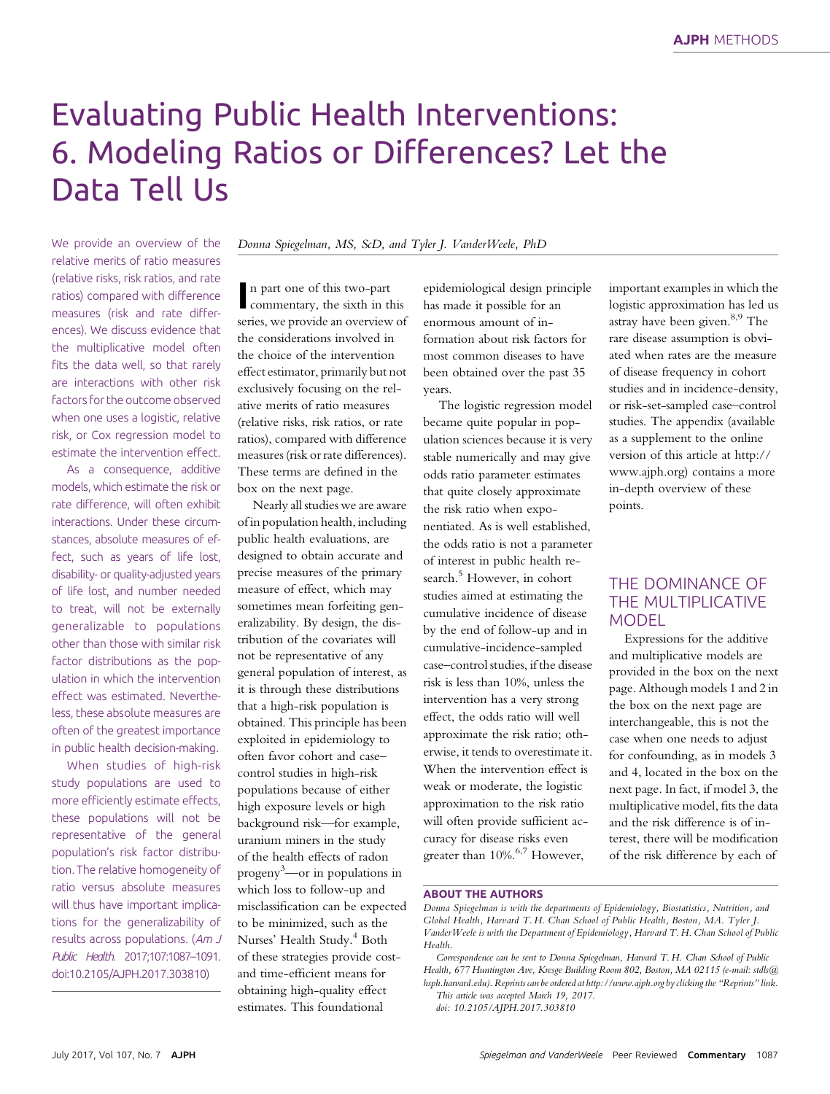# Evaluating Public Health Interventions: 6. Modeling Ratios or Differences? Let the Data Tell Us

We provide an overview of the relative merits of ratio measures (relative risks, risk ratios, and rate ratios) compared with difference measures (risk and rate differences). We discuss evidence that the multiplicative model often fits the data well, so that rarely are interactions with other risk factors for the outcome observed when one uses a logistic, relative risk, or Cox regression model to estimate the intervention effect.

As a consequence, additive models, which estimate the risk or rate difference, will often exhibit interactions. Under these circumstances, absolute measures of effect, such as years of life lost, disability- or quality-adjusted years of life lost, and number needed to treat, will not be externally generalizable to populations other than those with similar risk factor distributions as the population in which the intervention effect was estimated. Nevertheless, these absolute measures are often of the greatest importance in public health decision-making.

When studies of high-risk study populations are used to more efficiently estimate effects, these populations will not be representative of the general population's risk factor distribution. The relative homogeneity of ratio versus absolute measures will thus have important implications for the generalizability of results across populations. (Am J Public Health. 2017;107:1087–1091. doi:10.2105/AJPH.2017.303810)

Donna Spiegelman, MS, ScD, and Tyler J. VanderWeele, PhD

n part one of this two-part<br>commentary, the sixth in t commentary, the sixth in this series, we provide an overview of the considerations involved in the choice of the intervention effect estimator, primarily but not exclusively focusing on the relative merits of ratio measures (relative risks, risk ratios, or rate ratios), compared with difference measures (risk or rate differences). These terms are defined in the box on the next page.

Nearly all studies we are aware of in population health, including public health evaluations, are designed to obtain accurate and precise measures of the primary measure of effect, which may sometimes mean forfeiting generalizability. By design, the distribution of the covariates will not be representative of any general population of interest, as it is through these distributions that a high-risk population is obtained. This principle has been exploited in epidemiology to often favor cohort and case– control studies in high-risk populations because of either high exposure levels or high background risk—for example, uranium miners in the study of the health effects of radon progeny<sup>3</sup> —or in populations in which loss to follow-up and misclassification can be expected to be minimized, such as the Nurses' Health Study.<sup>4</sup> Both of these strategies provide costand time-efficient means for obtaining high-quality effect estimates. This foundational

epidemiological design principle has made it possible for an enormous amount of information about risk factors for most common diseases to have been obtained over the past 35 years.

The logistic regression model became quite popular in population sciences because it is very stable numerically and may give odds ratio parameter estimates that quite closely approximate the risk ratio when exponentiated. As is well established, the odds ratio is not a parameter of interest in public health research.<sup>5</sup> However, in cohort studies aimed at estimating the cumulative incidence of disease by the end of follow-up and in cumulative-incidence-sampled case–control studies, if the disease risk is less than 10%, unless the intervention has a very strong effect, the odds ratio will well approximate the risk ratio; otherwise, it tends to overestimate it. When the intervention effect is weak or moderate, the logistic approximation to the risk ratio will often provide sufficient accuracy for disease risks even greater than  $10\%$ .<sup>6,7</sup> However,

important examples in which the logistic approximation has led us astray have been given.<sup>8,9</sup> The rare disease assumption is obviated when rates are the measure of disease frequency in cohort studies and in incidence-density, or risk-set-sampled case–control studies. The appendix (available as a supplement to the online version of this article at [http://](http://www.ajph.org) [www.ajph.org\)](http://www.ajph.org) contains a more in-depth overview of these points.

## THE DOMINANCE OF THE MULTIPLICATIVE MODEL

Expressions for the additive and multiplicative models are provided in the box on the next page. Although models 1 and 2 in the box on the next page are interchangeable, this is not the case when one needs to adjust for confounding, as in models 3 and 4, located in the box on the next page. In fact, if model 3, the multiplicative model, fits the data and the risk difference is of interest, there will be modification of the risk difference by each of

#### ABOUT THE AUTHORS

doi: 10.2105/AJPH.2017.303810

Donna Spiegelman is with the departments of Epidemiology, Biostatistics, Nutrition, and Global Health, Harvard T. H. Chan School of Public Health, Boston, MA. Tyler J. VanderWeele is with the Department of Epidemiology, Harvard T. H. Chan School of Public Health.

Correspondence can be sent to Donna Spiegelman, Harvard T. H. Chan School of Public Health, 677 Huntington Ave, Kresge Building Room 802, Boston, MA 02115 (e-mail: [stdls@](mailto:stdls@hsph.harvard.edu) [hsph.harvard.edu](mailto:stdls@hsph.harvard.edu)). Reprints can be ordered at<http://www.ajph.org> by clicking the "Reprints" link. This article was accepted March 19, 2017.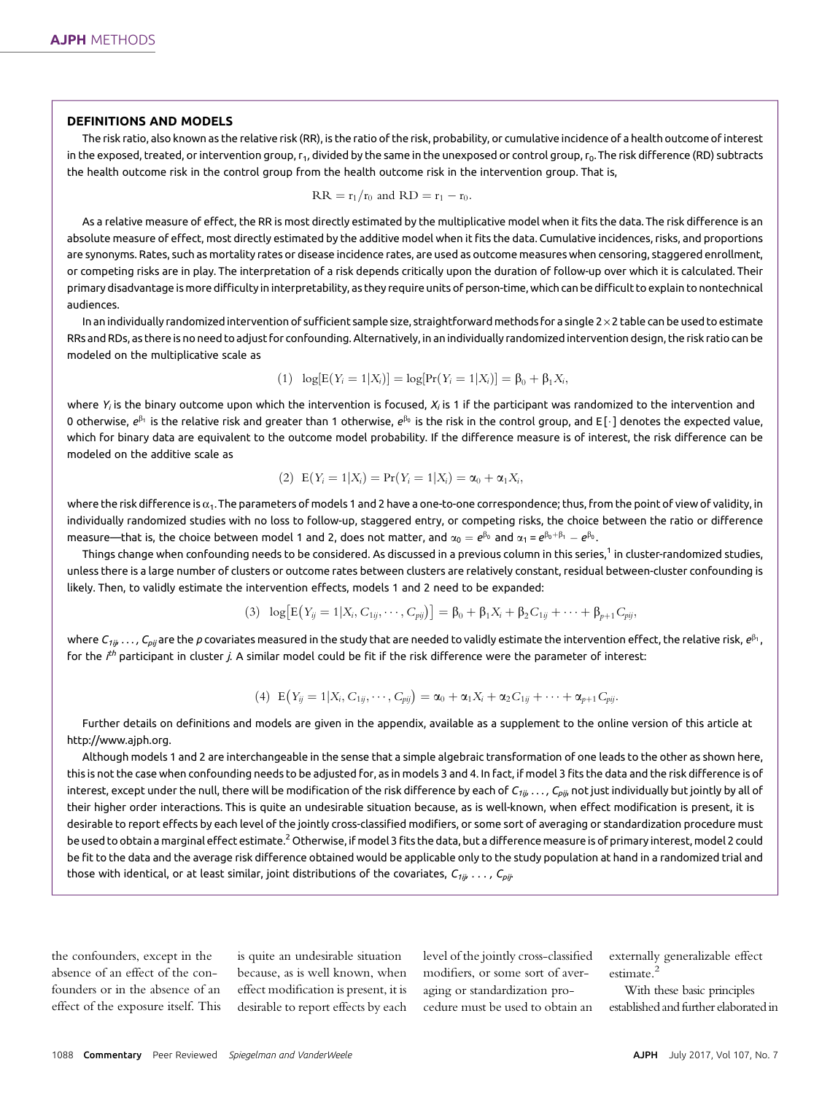#### DEFINITIONS AND MODELS

The risk ratio, also known as the relative risk (RR), is the ratio of the risk, probability, or cumulative incidence of a health outcome of interest in the exposed, treated, or intervention group,  $r_1$ , divided by the same in the unexposed or control group,  $r_0$ . The risk difference (RD) subtracts the health outcome risk in the control group from the health outcome risk in the intervention group. That is,

$$
RR = r_1/r_0 \text{ and } RD = r_1 - r_0.
$$

As a relative measure of effect, the RR is most directly estimated by the multiplicative model when it fits the data. The risk difference is an absolute measure of effect, most directly estimated by the additive model when it fits the data. Cumulative incidences, risks, and proportions are synonyms. Rates, such as mortality rates or disease incidence rates, are used as outcome measures when censoring, staggered enrollment, or competing risks are in play. The interpretation of a risk depends critically upon the duration of follow-up over which it is calculated. Their primary disadvantage is more difficulty in interpretability, as they require units of person-time, which can be difficult to explain to nontechnical audiences.

In an individually randomized intervention of sufficient sample size, straightforward methods for a single 2 · 2 table can be used to estimate RRs and RDs, as there is no need to adjust for confounding. Alternatively, in an individually randomized intervention design, the risk ratio can be modeled on the multiplicative scale as

(1) 
$$
\log[E(Y_i = 1 | X_i)] = \log[\Pr(Y_i = 1 | X_i)] = \beta_0 + \beta_1 X_i,
$$

where  $Y_i$  is the binary outcome upon which the intervention is focused,  $X_i$  is 1 if the participant was randomized to the intervention and 0 otherwise,  $e^{\beta_1}$  is the relative risk and greater than 1 otherwise,  $e^{\beta_0}$  is the risk in the control group, and E[ $\cdot$ ] denotes the expected value, which for binary data are equivalent to the outcome model probability. If the difference measure is of interest, the risk difference can be modeled on the additive scale as

(2) 
$$
E(Y_i = 1 | X_i) = Pr(Y_i = 1 | X_i) = \alpha_0 + \alpha_1 X_i
$$
,

where the risk difference is  $\alpha_1$ . The parameters of models 1 and 2 have a one-to-one correspondence; thus, from the point of view of validity, in individually randomized studies with no loss to follow-up, staggered entry, or competing risks, the choice between the ratio or difference measure—that is, the choice between model 1 and 2, does not matter, and  $\alpha_0 = e^{\beta_0}$  and  $\alpha_1 = e^{\beta_0 + \beta_1} - e^{\beta_0}$ .

Things change when confounding needs to be considered. As discussed in a previous column in this series,<sup>1</sup> in cluster-randomized studies, unless there is a large number of clusters or outcome rates between clusters are relatively constant, residual between-cluster confounding is likely. Then, to validly estimate the intervention effects, models 1 and 2 need to be expanded:

(3) 
$$
\log \left[ E(Y_{ij} = 1 | X_i, C_{1ij}, \cdots, C_{pi} \right) \right] = \beta_0 + \beta_1 X_i + \beta_2 C_{1ij} + \cdots + \beta_{p+1} C_{pi}
$$

where  $C_{1ij},...,C_{pi}$  are the p covariates measured in the study that are needed to validly estimate the intervention effect, the relative risk,  $e^{\beta_1}$ , for the  $i^{th}$  participant in cluster j. A similar model could be fit if the risk difference were the parameter of interest:

(4) 
$$
E(Y_{ij} = 1 | X_i, C_{1ij}, \dots, C_{pi}) = \alpha_0 + \alpha_1 X_i + \alpha_2 C_{1ij} + \dots + \alpha_{p+1} C_{pi}.
$$

Further details on definitions and models are given in the appendix, available as a supplement to the online version of this article at [http://www.ajph.org.](http://www.ajph.org)

Although models 1 and 2 are interchangeable in the sense that a simple algebraic transformation of one leads to the other as shown here, this is not the case when confounding needs to be adjusted for, as in models 3 and 4. In fact, if model 3 fits the data and the risk difference is of interest, except under the null, there will be modification of the risk difference by each of  $C_{1ij}, \ldots, C_{pi}$  not just individually but jointly by all of their higher order interactions. This is quite an undesirable situation because, as is well-known, when effect modification is present, it is desirable to report effects by each level of the jointly cross-classified modifiers, or some sort of averaging or standardization procedure must be used to obtain a marginal effect estimate.<sup>2</sup> Otherwise, if model 3 fits the data, but a difference measure is of primary interest, model 2 could be fit to the data and the average risk difference obtained would be applicable only to the study population at hand in a randomized trial and those with identical, or at least similar, joint distributions of the covariates,  $C_{1ij}, \ldots, C_{\rho ij}$ .

the confounders, except in the absence of an effect of the confounders or in the absence of an effect of the exposure itself. This is quite an undesirable situation because, as is well known, when effect modification is present, it is desirable to report effects by each

level of the jointly cross-classified modifiers, or some sort of averaging or standardization procedure must be used to obtain an

externally generalizable effect estimate.<sup>2</sup>

With these basic principles established and further elaborated in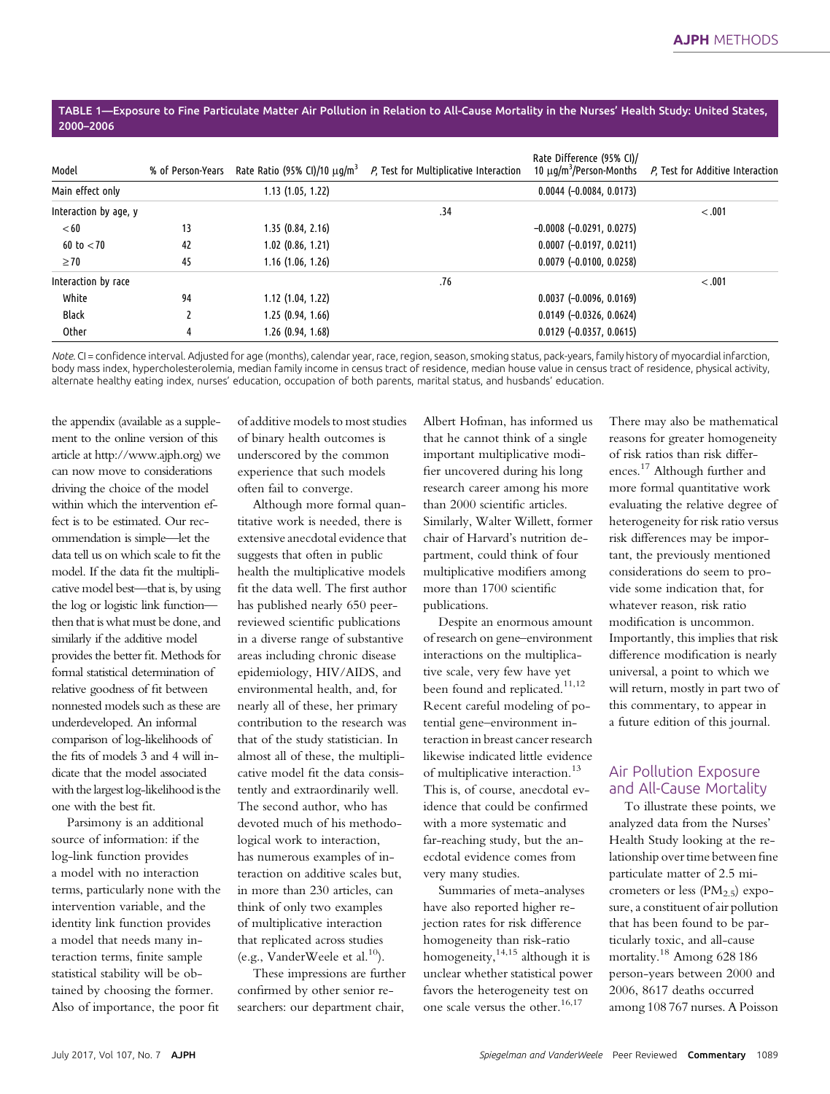TABLE 1—Exposure to Fine Particulate Matter Air Pollution in Relation to All-Cause Mortality in the Nurses' Health Study: United States, 2000–2006

| Model                 | % of Person-Years | Rate Ratio (95% CI)/10 $\mu$ g/m <sup>3</sup> | P, Test for Multiplicative Interaction | Rate Difference (95% CI)/     | 10 $\mu$ q/m <sup>3</sup> /Person-Months $P$ , Test for Additive Interaction |
|-----------------------|-------------------|-----------------------------------------------|----------------------------------------|-------------------------------|------------------------------------------------------------------------------|
| Main effect only      |                   | 1.13(1.05, 1.22)                              |                                        | $0.0044 (-0.0084, 0.0173)$    |                                                                              |
| Interaction by age, y |                   |                                               | .34                                    |                               | $-.001$                                                                      |
| < 60                  | 13                | 1.35(0.84, 2.16)                              |                                        | $-0.0008$ $(-0.0291, 0.0275)$ |                                                                              |
| 60 to $< 70$          | 42                | $1.02$ (0.86, 1.21)                           |                                        | $0.0007$ (-0.0197, 0.0211)    |                                                                              |
| $\geq 70$             | 45                | $1.16$ (1.06, 1.26)                           |                                        | $0.0079$ (-0.0100, 0.0258)    |                                                                              |
| Interaction by race   |                   |                                               | .76                                    |                               | $-.001$                                                                      |
| White                 | 94                | 1.12(1.04, 1.22)                              |                                        | $0.0037$ (-0.0096, 0.0169)    |                                                                              |
| Black                 |                   | 1.25(0.94, 1.66)                              |                                        | $0.0149 (-0.0326, 0.0624)$    |                                                                              |
| Other                 | 4                 | $1.26$ (0.94, 1.68)                           |                                        | $0.0129$ (-0.0357, 0.0615)    |                                                                              |

Note. CI = confidence interval. Adjusted for age (months), calendar year, race, region, season, smoking status, pack-years, family history of myocardial infarction, body mass index, hypercholesterolemia, median family income in census tract of residence, median house value in census tract of residence, physical activity, alternate healthy eating index, nurses' education, occupation of both parents, marital status, and husbands' education.

the appendix (available as a supplement to the online version of this article at<http://www.ajph.org>) we can now move to considerations driving the choice of the model within which the intervention effect is to be estimated. Our recommendation is simple—let the data tell us on which scale to fit the model. If the data fit the multiplicative model best—that is, by using the log or logistic link function then that is what must be done, and similarly if the additive model provides the better fit. Methods for formal statistical determination of relative goodness of fit between nonnested models such as these are underdeveloped. An informal comparison of log-likelihoods of the fits of models 3 and 4 will indicate that the model associated with the largest log-likelihood is the one with the best fit.

Parsimony is an additional source of information: if the log-link function provides a model with no interaction terms, particularly none with the intervention variable, and the identity link function provides a model that needs many interaction terms, finite sample statistical stability will be obtained by choosing the former. Also of importance, the poor fit

of additive models to most studies of binary health outcomes is underscored by the common experience that such models often fail to converge.

Although more formal quantitative work is needed, there is extensive anecdotal evidence that suggests that often in public health the multiplicative models fit the data well. The first author has published nearly 650 peerreviewed scientific publications in a diverse range of substantive areas including chronic disease epidemiology, HIV/AIDS, and environmental health, and, for nearly all of these, her primary contribution to the research was that of the study statistician. In almost all of these, the multiplicative model fit the data consistently and extraordinarily well. The second author, who has devoted much of his methodological work to interaction, has numerous examples of interaction on additive scales but, in more than 230 articles, can think of only two examples of multiplicative interaction that replicated across studies (e.g., VanderWeele et al. $^{10}$ ).

These impressions are further confirmed by other senior researchers: our department chair,

Albert Hofman, has informed us that he cannot think of a single important multiplicative modifier uncovered during his long research career among his more than 2000 scientific articles. Similarly, Walter Willett, former chair of Harvard's nutrition department, could think of four multiplicative modifiers among more than 1700 scientific publications.

Despite an enormous amount of research on gene–environment interactions on the multiplicative scale, very few have yet been found and replicated.<sup>11,12</sup> Recent careful modeling of potential gene–environment interaction in breast cancer research likewise indicated little evidence of multiplicative interaction.<sup>13</sup> This is, of course, anecdotal evidence that could be confirmed with a more systematic and far-reaching study, but the anecdotal evidence comes from very many studies.

Summaries of meta-analyses have also reported higher rejection rates for risk difference homogeneity than risk-ratio homogeneity, $14,15$  although it is unclear whether statistical power favors the heterogeneity test on one scale versus the other.<sup>16,17</sup>

There may also be mathematical reasons for greater homogeneity of risk ratios than risk differences.<sup>17</sup> Although further and more formal quantitative work evaluating the relative degree of heterogeneity for risk ratio versus risk differences may be important, the previously mentioned considerations do seem to provide some indication that, for whatever reason, risk ratio modification is uncommon. Importantly, this implies that risk difference modification is nearly universal, a point to which we will return, mostly in part two of this commentary, to appear in a future edition of this journal.

## Air Pollution Exposure and All-Cause Mortality

To illustrate these points, we analyzed data from the Nurses' Health Study looking at the relationship over time between fine particulate matter of 2.5 micrometers or less  $(PM_{2.5})$  exposure, a constituent of air pollution that has been found to be particularly toxic, and all-cause mortality.<sup>18</sup> Among 628 186 person-years between 2000 and 2006, 8617 deaths occurred among 108 767 nurses. A Poisson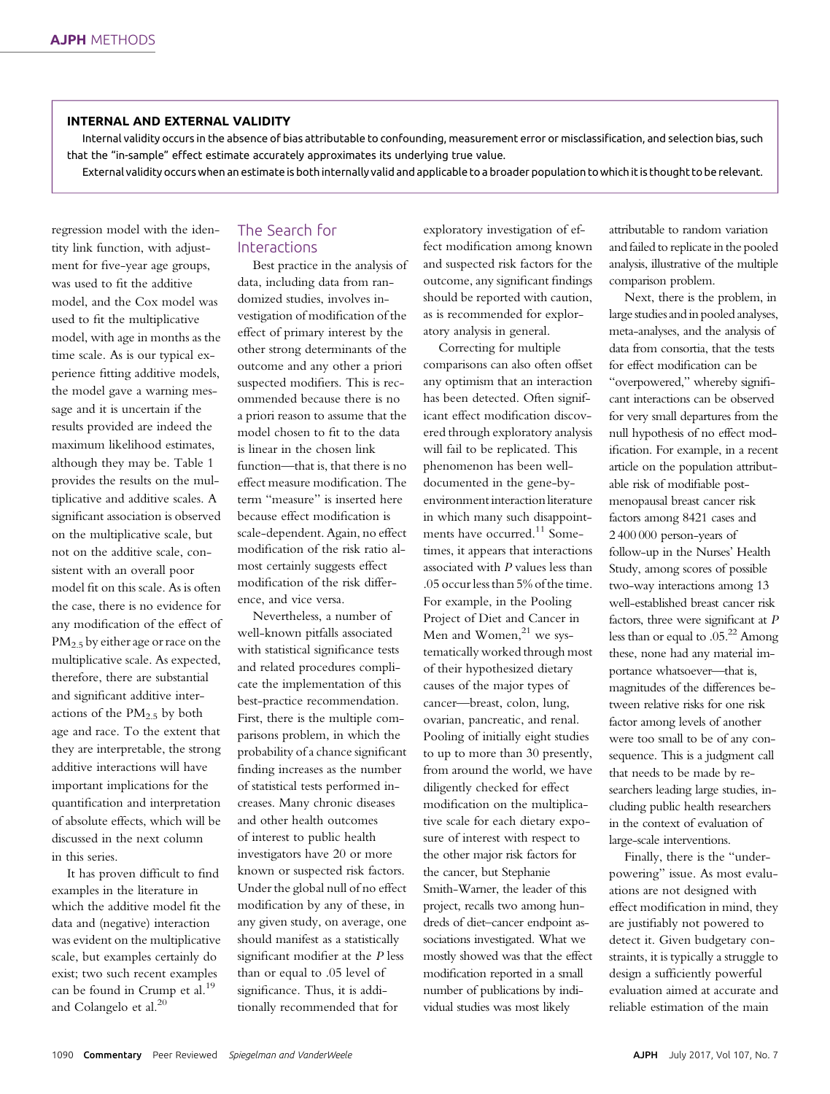#### INTERNAL AND EXTERNAL VALIDITY

Internal validity occurs in the absence of bias attributable to confounding, measurement error or misclassification, and selection bias, such that the "in-sample" effect estimate accurately approximates its underlying true value.

External validity occurs when an estimate is both internally valid and applicable to a broader population to which it is thought to be relevant.

regression model with the identity link function, with adjustment for five-year age groups, was used to fit the additive model, and the Cox model was used to fit the multiplicative model, with age in months as the time scale. As is our typical experience fitting additive models, the model gave a warning message and it is uncertain if the results provided are indeed the maximum likelihood estimates, although they may be. Table 1 provides the results on the multiplicative and additive scales. A significant association is observed on the multiplicative scale, but not on the additive scale, consistent with an overall poor model fit on this scale. As is often the case, there is no evidence for any modification of the effect of PM2.5 by either age or race on the multiplicative scale. As expected, therefore, there are substantial and significant additive interactions of the  $PM_{2.5}$  by both age and race. To the extent that they are interpretable, the strong additive interactions will have important implications for the quantification and interpretation of absolute effects, which will be discussed in the next column in this series.

It has proven difficult to find examples in the literature in which the additive model fit the data and (negative) interaction was evident on the multiplicative scale, but examples certainly do exist; two such recent examples can be found in Crump et al.<sup>19</sup> and Colangelo et al.<sup>20</sup>

## The Search for Interactions

Best practice in the analysis of data, including data from randomized studies, involves investigation of modification of the effect of primary interest by the other strong determinants of the outcome and any other a priori suspected modifiers. This is recommended because there is no a priori reason to assume that the model chosen to fit to the data is linear in the chosen link function—that is, that there is no effect measure modification. The term "measure" is inserted here because effect modification is scale-dependent. Again, no effect modification of the risk ratio almost certainly suggests effect modification of the risk difference, and vice versa.

Nevertheless, a number of well-known pitfalls associated with statistical significance tests and related procedures complicate the implementation of this best-practice recommendation. First, there is the multiple comparisons problem, in which the probability of a chance significant finding increases as the number of statistical tests performed increases. Many chronic diseases and other health outcomes of interest to public health investigators have 20 or more known or suspected risk factors. Under the global null of no effect modification by any of these, in any given study, on average, one should manifest as a statistically significant modifier at the P less than or equal to .05 level of significance. Thus, it is additionally recommended that for

exploratory investigation of effect modification among known and suspected risk factors for the outcome, any significant findings should be reported with caution, as is recommended for exploratory analysis in general.

Correcting for multiple comparisons can also often offset any optimism that an interaction has been detected. Often significant effect modification discovered through exploratory analysis will fail to be replicated. This phenomenon has been welldocumented in the gene-byenvironment interaction literature in which many such disappointments have occurred.<sup>11</sup> Sometimes, it appears that interactions associated with  $P$  values less than .05 occur less than 5% of the time. For example, in the Pooling Project of Diet and Cancer in Men and Women, $21$  we systematically worked through most of their hypothesized dietary causes of the major types of cancer—breast, colon, lung, ovarian, pancreatic, and renal. Pooling of initially eight studies to up to more than 30 presently, from around the world, we have diligently checked for effect modification on the multiplicative scale for each dietary exposure of interest with respect to the other major risk factors for the cancer, but Stephanie Smith-Warner, the leader of this project, recalls two among hundreds of diet–cancer endpoint associations investigated. What we mostly showed was that the effect modification reported in a small number of publications by individual studies was most likely

attributable to random variation and failed to replicate in the pooled analysis, illustrative of the multiple comparison problem.

Next, there is the problem, in large studies and in pooled analyses, meta-analyses, and the analysis of data from consortia, that the tests for effect modification can be "overpowered," whereby significant interactions can be observed for very small departures from the null hypothesis of no effect modification. For example, in a recent article on the population attributable risk of modifiable postmenopausal breast cancer risk factors among 8421 cases and 2 400 000 person-years of follow-up in the Nurses' Health Study, among scores of possible two-way interactions among 13 well-established breast cancer risk factors, three were significant at P less than or equal to  $.05<sup>22</sup>$  Among these, none had any material importance whatsoever—that is, magnitudes of the differences between relative risks for one risk factor among levels of another were too small to be of any consequence. This is a judgment call that needs to be made by researchers leading large studies, including public health researchers in the context of evaluation of large-scale interventions.

Finally, there is the "underpowering" issue. As most evaluations are not designed with effect modification in mind, they are justifiably not powered to detect it. Given budgetary constraints, it is typically a struggle to design a sufficiently powerful evaluation aimed at accurate and reliable estimation of the main